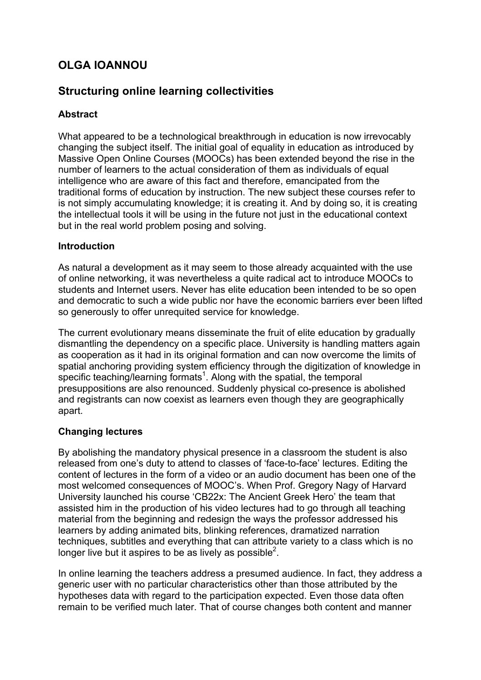# **OLGA IOANNOU**

# **Structuring online learning collectivities**

# **Abstract**

What appeared to be a technological breakthrough in education is now irrevocably changing the subject itself. The initial goal of equality in education as introduced by Massive Open Online Courses (MOOCs) has been extended beyond the rise in the number of learners to the actual consideration of them as individuals of equal intelligence who are aware of this fact and therefore, emancipated from the traditional forms of education by instruction. The new subject these courses refer to is not simply accumulating knowledge; it is creating it. And by doing so, it is creating the intellectual tools it will be using in the future not just in the educational context but in the real world problem posing and solving.

## **Introduction**

As natural a development as it may seem to those already acquainted with the use of online networking, it was nevertheless a quite radical act to introduce MOOCs to students and Internet users. Never has elite education been intended to be so open and democratic to such a wide public nor have the economic barriers ever been lifted so generously to offer unrequited service for knowledge.

The current evolutionary means disseminate the fruit of elite education by gradually dismantling the dependency on a specific place. University is handling matters again as cooperation as it had in its original formation and can now overcome the limits of spatial anchoring providing system efficiency through the digitization of knowledge in specific teaching/learning formats<sup>1</sup>. Along with the spatial, the temporal presuppositions are also renounced. Suddenly physical co-presence is abolished and registrants can now coexist as learners even though they are geographically apart.

### **Changing lectures**

By abolishing the mandatory physical presence in a classroom the student is also released from one's duty to attend to classes of 'face-to-face' lectures. Editing the content of lectures in the form of a video or an audio document has been one of the most welcomed consequences of MOOC's. When Prof. Gregory Nagy of Harvard University launched his course 'CB22x: The Ancient Greek Hero' the team that assisted him in the production of his video lectures had to go through all teaching material from the beginning and redesign the ways the professor addressed his learners by adding animated bits, blinking references, dramatized narration techniques, subtitles and everything that can attribute variety to a class which is no longer live but it aspires to be as lively as possible<sup>2</sup>.

In online learning the teachers address a presumed audience. In fact, they address a generic user with no particular characteristics other than those attributed by the hypotheses data with regard to the participation expected. Even those data often remain to be verified much later. That of course changes both content and manner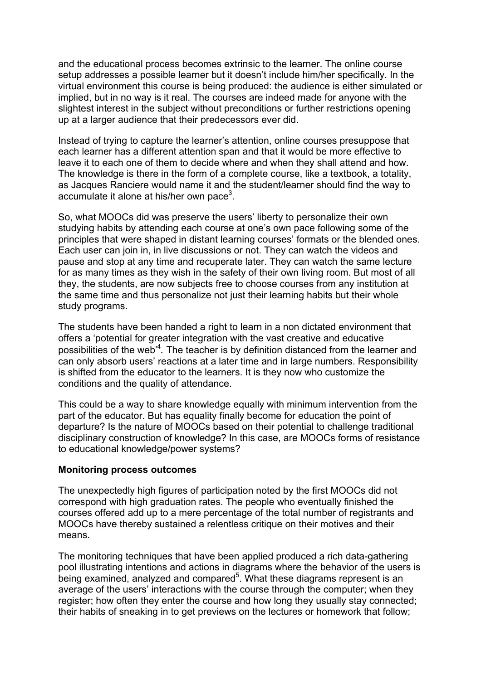and the educational process becomes extrinsic to the learner. The online course setup addresses a possible learner but it doesn't include him/her specifically. In the virtual environment this course is being produced: the audience is either simulated or implied, but in no way is it real. The courses are indeed made for anyone with the slightest interest in the subject without preconditions or further restrictions opening up at a larger audience that their predecessors ever did.

Instead of trying to capture the learner's attention, online courses presuppose that each learner has a different attention span and that it would be more effective to leave it to each one of them to decide where and when they shall attend and how. The knowledge is there in the form of a complete course, like a textbook, a totality, as Jacques Ranciere would name it and the student/learner should find the way to accumulate it alone at his/her own pace<sup>3</sup>.

So, what MOOCs did was preserve the users' liberty to personalize their own studying habits by attending each course at one's own pace following some of the principles that were shaped in distant learning courses' formats or the blended ones. Each user can join in, in live discussions or not. They can watch the videos and pause and stop at any time and recuperate later. They can watch the same lecture for as many times as they wish in the safety of their own living room. But most of all they, the students, are now subjects free to choose courses from any institution at the same time and thus personalize not just their learning habits but their whole study programs.

The students have been handed a right to learn in a non dictated environment that offers a 'potential for greater integration with the vast creative and educative possibilities of the web'4 *.* The teacher is by definition distanced from the learner and can only absorb users' reactions at a later time and in large numbers. Responsibility is shifted from the educator to the learners. It is they now who customize the conditions and the quality of attendance.

This could be a way to share knowledge equally with minimum intervention from the part of the educator. But has equality finally become for education the point of departure? Is the nature of MOOCs based on their potential to challenge traditional disciplinary construction of knowledge? In this case, are MOOCs forms of resistance to educational knowledge/power systems?

#### **Monitoring process outcomes**

The unexpectedly high figures of participation noted by the first MOOCs did not correspond with high graduation rates. The people who eventually finished the courses offered add up to a mere percentage of the total number of registrants and MOOCs have thereby sustained a relentless critique on their motives and their means.

The monitoring techniques that have been applied produced a rich data-gathering pool illustrating intentions and actions in diagrams where the behavior of the users is being examined, analyzed and compared<sup>5</sup>. What these diagrams represent is an average of the users' interactions with the course through the computer; when they register; how often they enter the course and how long they usually stay connected; their habits of sneaking in to get previews on the lectures or homework that follow;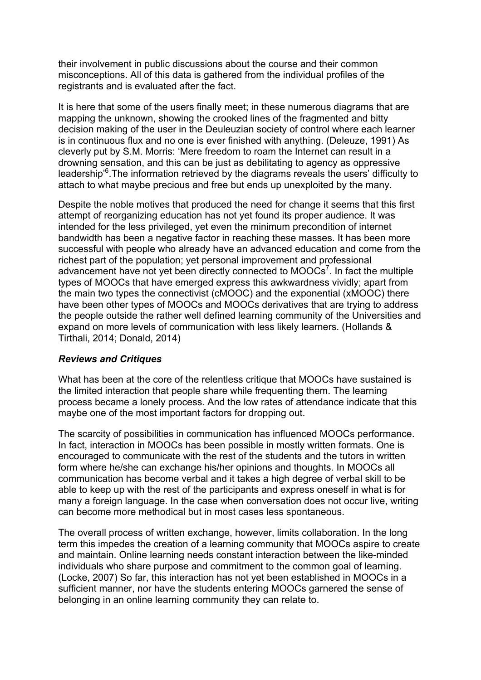their involvement in public discussions about the course and their common misconceptions. All of this data is gathered from the individual profiles of the registrants and is evaluated after the fact.

It is here that some of the users finally meet; in these numerous diagrams that are mapping the unknown, showing the crooked lines of the fragmented and bitty decision making of the user in the Deuleuzian society of control where each learner is in continuous flux and no one is ever finished with anything. (Deleuze, 1991) As cleverly put by S.M. Morris: 'Mere freedom to roam the Internet can result in a drowning sensation, and this can be just as debilitating to agency as oppressive leadership<sup>®</sup>. The information retrieved by the diagrams reveals the users' difficulty to attach to what maybe precious and free but ends up unexploited by the many.

Despite the noble motives that produced the need for change it seems that this first attempt of reorganizing education has not yet found its proper audience. It was intended for the less privileged, yet even the minimum precondition of internet bandwidth has been a negative factor in reaching these masses. It has been more successful with people who already have an advanced education and come from the richest part of the population; yet personal improvement and professional advancement have not yet been directly connected to  $MOOCs<sup>7</sup>$ . In fact the multiple types of MOOCs that have emerged express this awkwardness vividly; apart from the main two types the connectivist (cMOOC) and the exponential (xMOOC) there have been other types of MOOCs and MOOCs derivatives that are trying to address the people outside the rather well defined learning community of the Universities and expand on more levels of communication with less likely learners. (Hollands & Tirthali, 2014; Donald, 2014)

#### *Reviews and Critiques*

What has been at the core of the relentless critique that MOOCs have sustained is the limited interaction that people share while frequenting them. The learning process became a lonely process. And the low rates of attendance indicate that this maybe one of the most important factors for dropping out.

The scarcity of possibilities in communication has influenced MOOCs performance. In fact, interaction in MOOCs has been possible in mostly written formats. One is encouraged to communicate with the rest of the students and the tutors in written form where he/she can exchange his/her opinions and thoughts. In MOOCs all communication has become verbal and it takes a high degree of verbal skill to be able to keep up with the rest of the participants and express oneself in what is for many a foreign language. In the case when conversation does not occur live, writing can become more methodical but in most cases less spontaneous.

The overall process of written exchange, however, limits collaboration. In the long term this impedes the creation of a learning community that MOOCs aspire to create and maintain. Online learning needs constant interaction between the like-minded individuals who share purpose and commitment to the common goal of learning. (Locke, 2007) So far, this interaction has not yet been established in MOOCs in a sufficient manner, nor have the students entering MOOCs garnered the sense of belonging in an online learning community they can relate to.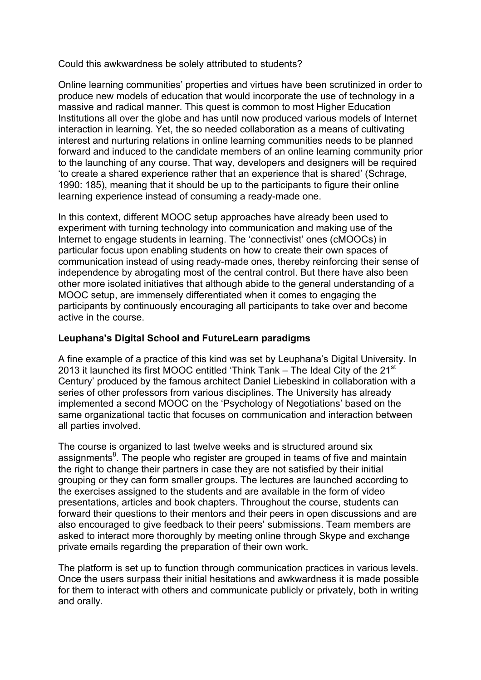Could this awkwardness be solely attributed to students?

Online learning communities' properties and virtues have been scrutinized in order to produce new models of education that would incorporate the use of technology in a massive and radical manner. This quest is common to most Higher Education Institutions all over the globe and has until now produced various models of Internet interaction in learning. Yet, the so needed collaboration as a means of cultivating interest and nurturing relations in online learning communities needs to be planned forward and induced to the candidate members of an online learning community prior to the launching of any course. That way, developers and designers will be required 'to create a shared experience rather that an experience that is shared' (Schrage, 1990: 185), meaning that it should be up to the participants to figure their online learning experience instead of consuming a ready-made one.

In this context, different MOOC setup approaches have already been used to experiment with turning technology into communication and making use of the Internet to engage students in learning. The 'connectivist' ones (cMOOCs) in particular focus upon enabling students on how to create their own spaces of communication instead of using ready-made ones, thereby reinforcing their sense of independence by abrogating most of the central control. But there have also been other more isolated initiatives that although abide to the general understanding of a MOOC setup, are immensely differentiated when it comes to engaging the participants by continuously encouraging all participants to take over and become active in the course.

# **Leuphana's Digital School and FutureLearn paradigms**

A fine example of a practice of this kind was set by Leuphana's Digital University. In 2013 it launched its first MOOC entitled 'Think Tank – The Ideal City of the 21<sup>st</sup> Century' produced by the famous architect Daniel Liebeskind in collaboration with a series of other professors from various disciplines. The University has already implemented a second MOOC on the 'Psychology of Negotiations' based on the same organizational tactic that focuses on communication and interaction between all parties involved.

The course is organized to last twelve weeks and is structured around six assignments<sup>8</sup>. The people who register are grouped in teams of five and maintain the right to change their partners in case they are not satisfied by their initial grouping or they can form smaller groups. The lectures are launched according to the exercises assigned to the students and are available in the form of video presentations, articles and book chapters. Throughout the course, students can forward their questions to their mentors and their peers in open discussions and are also encouraged to give feedback to their peers' submissions. Team members are asked to interact more thoroughly by meeting online through Skype and exchange private emails regarding the preparation of their own work.

The platform is set up to function through communication practices in various levels. Once the users surpass their initial hesitations and awkwardness it is made possible for them to interact with others and communicate publicly or privately, both in writing and orally.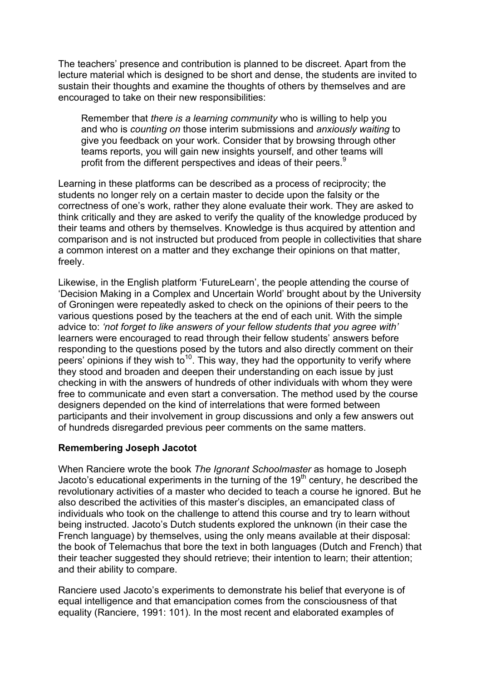The teachers' presence and contribution is planned to be discreet. Apart from the lecture material which is designed to be short and dense, the students are invited to sustain their thoughts and examine the thoughts of others by themselves and are encouraged to take on their new responsibilities:

Remember that *there is a learning community* who is willing to help you and who is *counting on* those interim submissions and *anxiously waiting* to give you feedback on your work. Consider that by browsing through other teams reports, you will gain new insights yourself, and other teams will profit from the different perspectives and ideas of their peers.<sup>9</sup>

Learning in these platforms can be described as a process of reciprocity; the students no longer rely on a certain master to decide upon the falsity or the correctness of one's work, rather they alone evaluate their work. They are asked to think critically and they are asked to verify the quality of the knowledge produced by their teams and others by themselves. Knowledge is thus acquired by attention and comparison and is not instructed but produced from people in collectivities that share a common interest on a matter and they exchange their opinions on that matter, freely.

Likewise, in the English platform 'FutureLearn', the people attending the course of 'Decision Making in a Complex and Uncertain World' brought about by the University of Groningen were repeatedly asked to check on the opinions of their peers to the various questions posed by the teachers at the end of each unit. With the simple advice to: *'not forget to like answers of your fellow students that you agree with'*  learners were encouraged to read through their fellow students' answers before responding to the questions posed by the tutors and also directly comment on their peers' opinions if they wish to<sup>10</sup>. This way, they had the opportunity to verify where they stood and broaden and deepen their understanding on each issue by just checking in with the answers of hundreds of other individuals with whom they were free to communicate and even start a conversation. The method used by the course designers depended on the kind of interrelations that were formed between participants and their involvement in group discussions and only a few answers out of hundreds disregarded previous peer comments on the same matters.

### **Remembering Joseph Jacotot**

When Ranciere wrote the book *The Ignorant Schoolmaster* as homage to Joseph Jacoto's educational experiments in the turning of the  $19<sup>th</sup>$  century, he described the revolutionary activities of a master who decided to teach a course he ignored. But he also described the activities of this master's disciples, an emancipated class of individuals who took on the challenge to attend this course and try to learn without being instructed. Jacoto's Dutch students explored the unknown (in their case the French language) by themselves, using the only means available at their disposal: the book of Telemachus that bore the text in both languages (Dutch and French) that their teacher suggested they should retrieve; their intention to learn; their attention; and their ability to compare.

Ranciere used Jacoto's experiments to demonstrate his belief that everyone is of equal intelligence and that emancipation comes from the consciousness of that equality (Ranciere, 1991: 101). In the most recent and elaborated examples of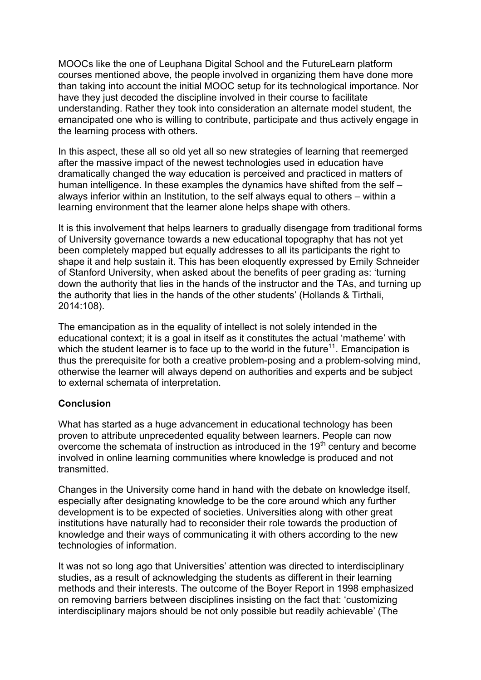MOOCs like the one of Leuphana Digital School and the FutureLearn platform courses mentioned above, the people involved in organizing them have done more than taking into account the initial MOOC setup for its technological importance. Nor have they just decoded the discipline involved in their course to facilitate understanding. Rather they took into consideration an alternate model student, the emancipated one who is willing to contribute, participate and thus actively engage in the learning process with others.

In this aspect, these all so old yet all so new strategies of learning that reemerged after the massive impact of the newest technologies used in education have dramatically changed the way education is perceived and practiced in matters of human intelligence. In these examples the dynamics have shifted from the self – always inferior within an Institution, to the self always equal to others – within a learning environment that the learner alone helps shape with others.

It is this involvement that helps learners to gradually disengage from traditional forms of University governance towards a new educational topography that has not yet been completely mapped but equally addresses to all its participants the right to shape it and help sustain it. This has been eloquently expressed by Emily Schneider of Stanford University, when asked about the benefits of peer grading as: 'turning down the authority that lies in the hands of the instructor and the TAs, and turning up the authority that lies in the hands of the other students' (Hollands & Tirthali, 2014:108).

The emancipation as in the equality of intellect is not solely intended in the educational context; it is a goal in itself as it constitutes the actual 'matheme' with which the student learner is to face up to the world in the future<sup>11</sup>. Emancipation is thus the prerequisite for both a creative problem-posing and a problem-solving mind, otherwise the learner will always depend on authorities and experts and be subject to external schemata of interpretation.

### **Conclusion**

What has started as a huge advancement in educational technology has been proven to attribute unprecedented equality between learners. People can now overcome the schemata of instruction as introduced in the  $19<sup>th</sup>$  century and become involved in online learning communities where knowledge is produced and not transmitted.

Changes in the University come hand in hand with the debate on knowledge itself, especially after designating knowledge to be the core around which any further development is to be expected of societies. Universities along with other great institutions have naturally had to reconsider their role towards the production of knowledge and their ways of communicating it with others according to the new technologies of information.

It was not so long ago that Universities' attention was directed to interdisciplinary studies, as a result of acknowledging the students as different in their learning methods and their interests. The outcome of the Boyer Report in 1998 emphasized on removing barriers between disciplines insisting on the fact that: 'customizing interdisciplinary majors should be not only possible but readily achievable' (The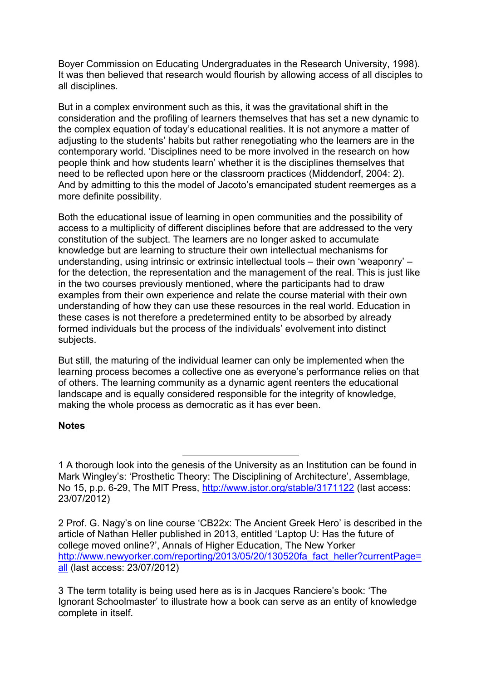Boyer Commission on Educating Undergraduates in the Research University, 1998). It was then believed that research would flourish by allowing access of all disciples to all disciplines.

But in a complex environment such as this, it was the gravitational shift in the consideration and the profiling of learners themselves that has set a new dynamic to the complex equation of today's educational realities. It is not anymore a matter of adjusting to the students' habits but rather renegotiating who the learners are in the contemporary world. 'Disciplines need to be more involved in the research on how people think and how students learn' whether it is the disciplines themselves that need to be reflected upon here or the classroom practices (Middendorf, 2004: 2). And by admitting to this the model of Jacoto's emancipated student reemerges as a more definite possibility.

Both the educational issue of learning in open communities and the possibility of access to a multiplicity of different disciplines before that are addressed to the very constitution of the subject. The learners are no longer asked to accumulate knowledge but are learning to structure their own intellectual mechanisms for understanding, using intrinsic or extrinsic intellectual tools – their own 'weaponry' – for the detection, the representation and the management of the real. This is just like in the two courses previously mentioned, where the participants had to draw examples from their own experience and relate the course material with their own understanding of how they can use these resources in the real world. Education in these cases is not therefore a predetermined entity to be absorbed by already formed individuals but the process of the individuals' evolvement into distinct subjects.

But still, the maturing of the individual learner can only be implemented when the learning process becomes a collective one as everyone's performance relies on that of others. The learning community as a dynamic agent reenters the educational landscape and is equally considered responsible for the integrity of knowledge, making the whole process as democratic as it has ever been.

### **Notes**

 $\overline{a}$ 

<sup>1</sup> A thorough look into the genesis of the University as an Institution can be found in Mark Wingley's: 'Prosthetic Theory: The Disciplining of Architecture', Assemblage, No 15, p.p. 6-29, The MIT Press, http://www.jstor.org/stable/3171122 (last access: 23/07/2012)

<sup>2</sup> Prof. G. Nagy's on line course 'CB22x: The Ancient Greek Hero' is described in the article of Nathan Heller published in 2013, entitled 'Laptop U: Has the future of college moved online?', Annals of Higher Education, The New Yorker http://www.newyorker.com/reporting/2013/05/20/130520fa\_fact\_heller?currentPage= all (last access: 23/07/2012)

<sup>3</sup>!!The term totality is being used here as is in Jacques Ranciere's book: 'The Ignorant Schoolmaster' to illustrate how a book can serve as an entity of knowledge complete in itself.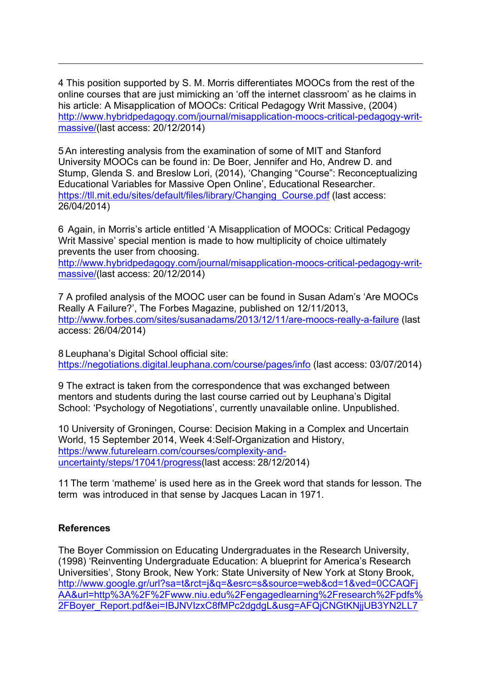4 This position supported by S. M. Morris differentiates MOOCs from the rest of the online courses that are just mimicking an 'off the internet classroom' as he claims in his article: A Misapplication of MOOCs: Critical Pedagogy Writ Massive, (2004) http://www.hybridpedagogy.com/journal/misapplication-moocs-critical-pedagogy-writmassive/(last access: 20/12/2014)

5 An interesting analysis from the examination of some of MIT and Stanford University MOOCs can be found in: De Boer, Jennifer and Ho, Andrew D. and Stump, Glenda S. and Breslow Lori, (2014), 'Changing "Course": Reconceptualizing Educational Variables for Massive Open Online', Educational Researcher. https://tll.mit.edu/sites/default/files/library/Changing\_Course.pdf (last access: 26/04/2014)

6 Again, in Morris's article entitled 'A Misapplication of MOOCs: Critical Pedagogy Writ Massive' special mention is made to how multiplicity of choice ultimately prevents the user from choosing.

http://www.hybridpedagogy.com/journal/misapplication-moocs-critical-pedagogy-writmassive/(last access: 20/12/2014)

7 A profiled analysis of the MOOC user can be found in Susan Adam's 'Are MOOCs Really A Failure?', The Forbes Magazine, published on 12/11/2013, http://www.forbes.com/sites/susanadams/2013/12/11/are-moocs-really-a-failure (last access: 26/04/2014)

8 Leuphana's Digital School official site: https://negotiations.digital.leuphana.com/course/pages/info (last access: 03/07/2014)

9 The extract is taken from the correspondence that was exchanged between mentors and students during the last course carried out by Leuphana's Digital School: 'Psychology of Negotiations', currently unavailable online. Unpublished.

10 University of Groningen, Course: Decision Making in a Complex and Uncertain World, 15 September 2014, Week 4:Self-Organization and History, https://www.futurelearn.com/courses/complexity-anduncertainty/steps/17041/progress(last access: 28/12/2014)

11 The term 'matheme' is used here as in the Greek word that stands for lesson. The term was introduced in that sense by Jacques Lacan in 1971.

# **References**

 $\overline{a}$ 

The Boyer Commission on Educating Undergraduates in the Research University, (1998) 'Reinventing Undergraduate Education: A blueprint for America's Research Universities', Stony Brook, New York: State University of New York at Stony Brook, http://www.google.gr/url?sa=t&rct=j&q=&esrc=s&source=web&cd=1&ved=0CCAQFj AA&url=http%3A%2F%2Fwww.niu.edu%2Fengagedlearning%2Fresearch%2Fpdfs% 2FBoyer\_Report.pdf&ei=IBJNVIzxC8fMPc2dgdgL&usg=AFQjCNGtKNjjUB3YN2LL7